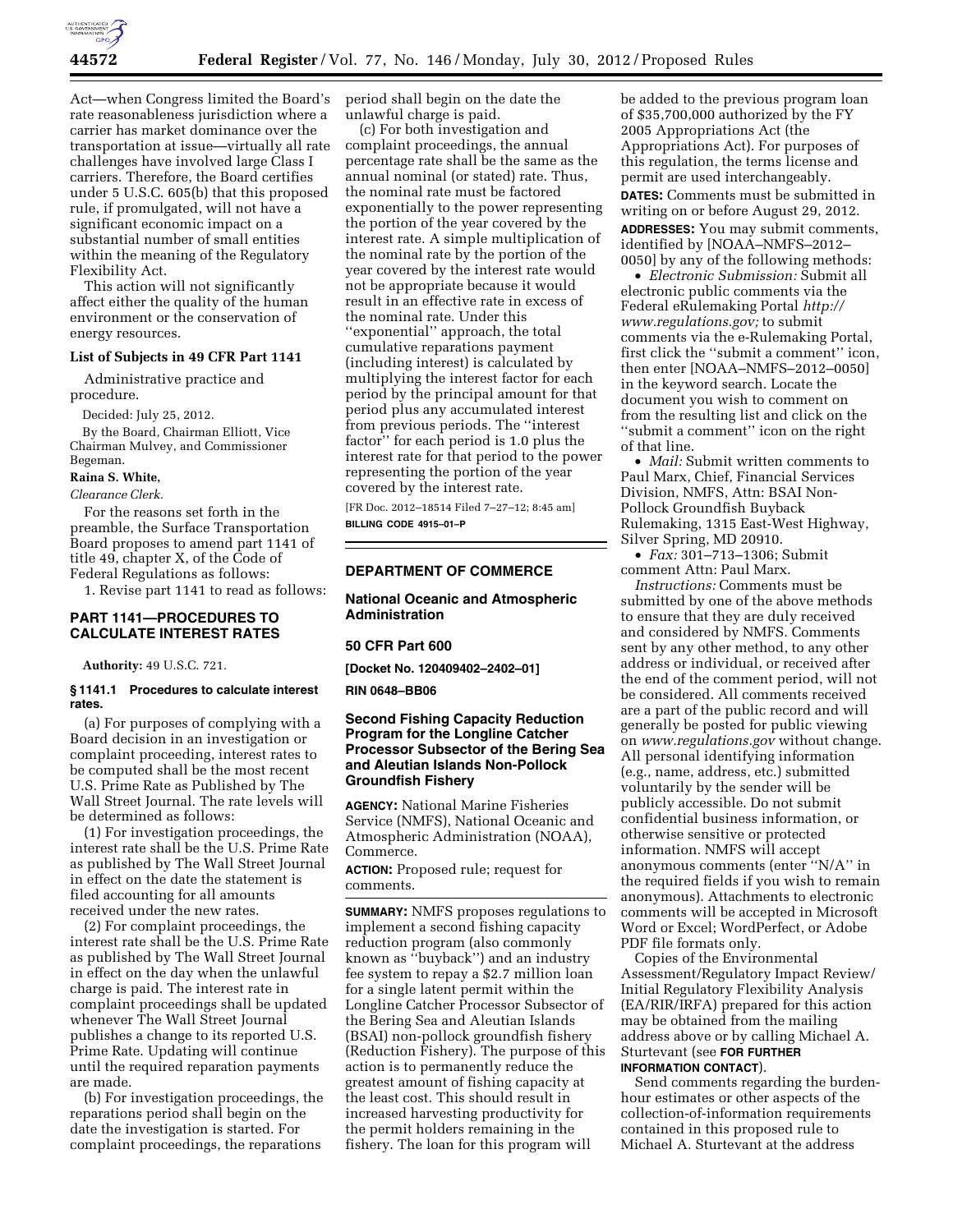

Act—when Congress limited the Board's rate reasonableness jurisdiction where a carrier has market dominance over the transportation at issue—virtually all rate challenges have involved large Class I carriers. Therefore, the Board certifies under 5 U.S.C. 605(b) that this proposed rule, if promulgated, will not have a significant economic impact on a substantial number of small entities within the meaning of the Regulatory Flexibility Act.

This action will not significantly affect either the quality of the human environment or the conservation of energy resources.

#### **List of Subjects in 49 CFR Part 1141**

Administrative practice and procedure.

Decided: July 25, 2012.

By the Board, Chairman Elliott, Vice Chairman Mulvey, and Commissioner Begeman.

#### **Raina S. White,**

*Clearance Clerk.* 

For the reasons set forth in the preamble, the Surface Transportation Board proposes to amend part 1141 of title 49, chapter X, of the Code of Federal Regulations as follows:

1. Revise part 1141 to read as follows:

### **PART 1141—PROCEDURES TO CALCULATE INTEREST RATES**

**Authority:** 49 U.S.C. 721.

#### **§ 1141.1 Procedures to calculate interest rates.**

(a) For purposes of complying with a Board decision in an investigation or complaint proceeding, interest rates to be computed shall be the most recent U.S. Prime Rate as Published by The Wall Street Journal. The rate levels will be determined as follows:

(1) For investigation proceedings, the interest rate shall be the U.S. Prime Rate as published by The Wall Street Journal in effect on the date the statement is filed accounting for all amounts received under the new rates.

(2) For complaint proceedings, the interest rate shall be the U.S. Prime Rate as published by The Wall Street Journal in effect on the day when the unlawful charge is paid. The interest rate in complaint proceedings shall be updated whenever The Wall Street Journal publishes a change to its reported U.S. Prime Rate. Updating will continue until the required reparation payments are made.

(b) For investigation proceedings, the reparations period shall begin on the date the investigation is started. For complaint proceedings, the reparations

period shall begin on the date the unlawful charge is paid.

(c) For both investigation and complaint proceedings, the annual percentage rate shall be the same as the annual nominal (or stated) rate. Thus, the nominal rate must be factored exponentially to the power representing the portion of the year covered by the interest rate. A simple multiplication of the nominal rate by the portion of the year covered by the interest rate would not be appropriate because it would result in an effective rate in excess of the nominal rate. Under this ''exponential'' approach, the total cumulative reparations payment (including interest) is calculated by multiplying the interest factor for each period by the principal amount for that period plus any accumulated interest from previous periods. The ''interest factor'' for each period is 1.0 plus the interest rate for that period to the power representing the portion of the year covered by the interest rate.

[FR Doc. 2012–18514 Filed 7–27–12; 8:45 am] **BILLING CODE 4915–01–P** 

## **DEPARTMENT OF COMMERCE**

## **National Oceanic and Atmospheric Administration**

#### **50 CFR Part 600**

**[Docket No. 120409402–2402–01]** 

## **RIN 0648–BB06**

# **Second Fishing Capacity Reduction Program for the Longline Catcher Processor Subsector of the Bering Sea and Aleutian Islands Non-Pollock Groundfish Fishery**

**AGENCY:** National Marine Fisheries Service (NMFS), National Oceanic and Atmospheric Administration (NOAA), Commerce.

**ACTION:** Proposed rule; request for comments.

**SUMMARY:** NMFS proposes regulations to implement a second fishing capacity reduction program (also commonly known as ''buyback'') and an industry fee system to repay a \$2.7 million loan for a single latent permit within the Longline Catcher Processor Subsector of the Bering Sea and Aleutian Islands (BSAI) non-pollock groundfish fishery (Reduction Fishery). The purpose of this action is to permanently reduce the greatest amount of fishing capacity at the least cost. This should result in increased harvesting productivity for the permit holders remaining in the fishery. The loan for this program will

be added to the previous program loan of \$35,700,000 authorized by the FY 2005 Appropriations Act (the Appropriations Act). For purposes of this regulation, the terms license and permit are used interchangeably.

**DATES:** Comments must be submitted in writing on or before August 29, 2012. **ADDRESSES:** You may submit comments, identified by [NOAA–NMFS–2012–

0050] by any of the following methods: • *Electronic Submission:* Submit all electronic public comments via the Federal eRulemaking Portal *[http://](http://www.regulations.gov) [www.regulations.gov;](http://www.regulations.gov)* to submit comments via the e-Rulemaking Portal, first click the ''submit a comment'' icon, then enter [NOAA–NMFS–2012–0050] in the keyword search. Locate the document you wish to comment on from the resulting list and click on the ''submit a comment'' icon on the right of that line.

• *Mail:* Submit written comments to Paul Marx, Chief, Financial Services Division, NMFS, Attn: BSAI Non-Pollock Groundfish Buyback Rulemaking, 1315 East-West Highway, Silver Spring, MD 20910.

• *Fax:* 301–713–1306; Submit comment Attn: Paul Marx.

*Instructions:* Comments must be submitted by one of the above methods to ensure that they are duly received and considered by NMFS. Comments sent by any other method, to any other address or individual, or received after the end of the comment period, will not be considered. All comments received are a part of the public record and will generally be posted for public viewing on *[www.regulations.gov](http://www.regulations.gov)* without change. All personal identifying information (e.g., name, address, etc.) submitted voluntarily by the sender will be publicly accessible. Do not submit confidential business information, or otherwise sensitive or protected information. NMFS will accept anonymous comments (enter ''N/A'' in the required fields if you wish to remain anonymous). Attachments to electronic comments will be accepted in Microsoft Word or Excel; WordPerfect, or Adobe PDF file formats only.

Copies of the Environmental Assessment/Regulatory Impact Review/ Initial Regulatory Flexibility Analysis (EA/RIR/IRFA) prepared for this action may be obtained from the mailing address above or by calling Michael A. Sturtevant (see **FOR FURTHER INFORMATION CONTACT**).

Send comments regarding the burdenhour estimates or other aspects of the collection-of-information requirements contained in this proposed rule to Michael A. Sturtevant at the address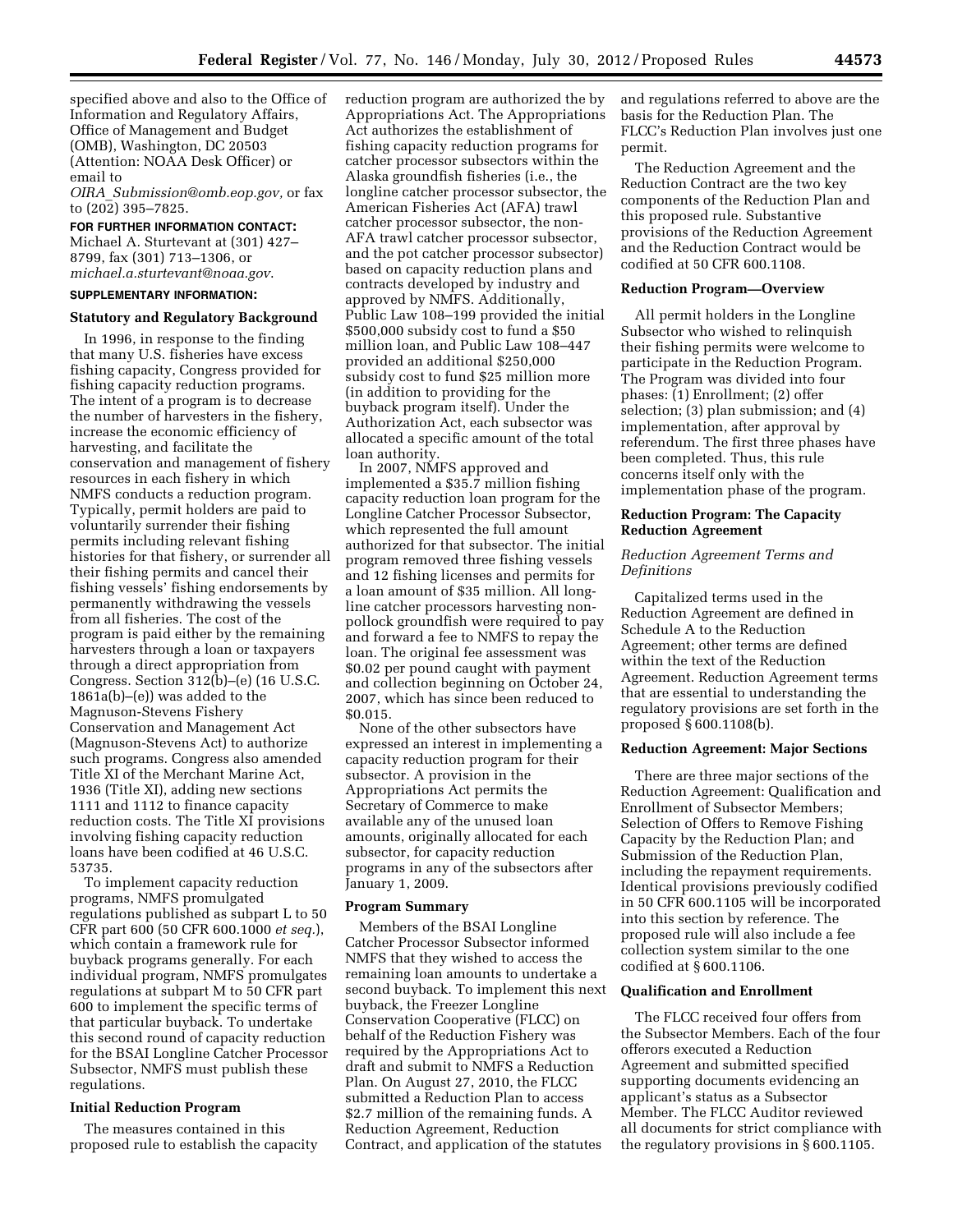specified above and also to the Office of Information and Regulatory Affairs, Office of Management and Budget (OMB), Washington, DC 20503 (Attention: NOAA Desk Officer) or email to

*OIRA*\_*[Submission@omb.eop.gov,](mailto:OIRA_Submission@omb.eop.gov)* or fax to (202) 395–7825.

### **FOR FURTHER INFORMATION CONTACT:**

Michael A. Sturtevant at (301) 427– 8799, fax (301) 713–1306, or *[michael.a.sturtevant@noaa.gov](mailto:michael.a.sturtevant@noaa.gov)*.

# **SUPPLEMENTARY INFORMATION:**

## **Statutory and Regulatory Background**

In 1996, in response to the finding that many U.S. fisheries have excess fishing capacity, Congress provided for fishing capacity reduction programs. The intent of a program is to decrease the number of harvesters in the fishery, increase the economic efficiency of harvesting, and facilitate the conservation and management of fishery resources in each fishery in which NMFS conducts a reduction program. Typically, permit holders are paid to voluntarily surrender their fishing permits including relevant fishing histories for that fishery, or surrender all their fishing permits and cancel their fishing vessels' fishing endorsements by permanently withdrawing the vessels from all fisheries. The cost of the program is paid either by the remaining harvesters through a loan or taxpayers through a direct appropriation from Congress. Section 312(b)–(e) (16 U.S.C. 1861a(b)–(e)) was added to the Magnuson-Stevens Fishery Conservation and Management Act (Magnuson-Stevens Act) to authorize such programs. Congress also amended Title XI of the Merchant Marine Act, 1936 (Title XI), adding new sections 1111 and 1112 to finance capacity reduction costs. The Title XI provisions involving fishing capacity reduction loans have been codified at 46 U.S.C. 53735.

To implement capacity reduction programs, NMFS promulgated regulations published as subpart L to 50 CFR part 600 (50 CFR 600.1000 *et seq.*), which contain a framework rule for buyback programs generally. For each individual program, NMFS promulgates regulations at subpart M to 50 CFR part 600 to implement the specific terms of that particular buyback. To undertake this second round of capacity reduction for the BSAI Longline Catcher Processor Subsector, NMFS must publish these regulations.

## **Initial Reduction Program**

The measures contained in this proposed rule to establish the capacity reduction program are authorized the by Appropriations Act. The Appropriations Act authorizes the establishment of fishing capacity reduction programs for catcher processor subsectors within the Alaska groundfish fisheries (i.e., the longline catcher processor subsector, the American Fisheries Act (AFA) trawl catcher processor subsector, the non-AFA trawl catcher processor subsector, and the pot catcher processor subsector) based on capacity reduction plans and contracts developed by industry and approved by NMFS. Additionally, Public Law 108–199 provided the initial \$500,000 subsidy cost to fund a \$50 million loan, and Public Law 108–447 provided an additional \$250,000 subsidy cost to fund \$25 million more (in addition to providing for the buyback program itself). Under the Authorization Act, each subsector was allocated a specific amount of the total loan authority.

In 2007, NMFS approved and implemented a \$35.7 million fishing capacity reduction loan program for the Longline Catcher Processor Subsector, which represented the full amount authorized for that subsector. The initial program removed three fishing vessels and 12 fishing licenses and permits for a loan amount of \$35 million. All longline catcher processors harvesting nonpollock groundfish were required to pay and forward a fee to NMFS to repay the loan. The original fee assessment was \$0.02 per pound caught with payment and collection beginning on October 24, 2007, which has since been reduced to \$0.015.

None of the other subsectors have expressed an interest in implementing a capacity reduction program for their subsector. A provision in the Appropriations Act permits the Secretary of Commerce to make available any of the unused loan amounts, originally allocated for each subsector, for capacity reduction programs in any of the subsectors after January 1, 2009.

### **Program Summary**

Members of the BSAI Longline Catcher Processor Subsector informed NMFS that they wished to access the remaining loan amounts to undertake a second buyback. To implement this next buyback, the Freezer Longline Conservation Cooperative (FLCC) on behalf of the Reduction Fishery was required by the Appropriations Act to draft and submit to NMFS a Reduction Plan. On August 27, 2010, the FLCC submitted a Reduction Plan to access \$2.7 million of the remaining funds. A Reduction Agreement, Reduction Contract, and application of the statutes

and regulations referred to above are the basis for the Reduction Plan. The FLCC's Reduction Plan involves just one permit.

The Reduction Agreement and the Reduction Contract are the two key components of the Reduction Plan and this proposed rule. Substantive provisions of the Reduction Agreement and the Reduction Contract would be codified at 50 CFR 600.1108.

## **Reduction Program—Overview**

All permit holders in the Longline Subsector who wished to relinquish their fishing permits were welcome to participate in the Reduction Program. The Program was divided into four phases: (1) Enrollment; (2) offer selection; (3) plan submission; and (4) implementation, after approval by referendum. The first three phases have been completed. Thus, this rule concerns itself only with the implementation phase of the program.

# **Reduction Program: The Capacity Reduction Agreement**

# *Reduction Agreement Terms and Definitions*

Capitalized terms used in the Reduction Agreement are defined in Schedule A to the Reduction Agreement; other terms are defined within the text of the Reduction Agreement. Reduction Agreement terms that are essential to understanding the regulatory provisions are set forth in the proposed § 600.1108(b).

## **Reduction Agreement: Major Sections**

There are three major sections of the Reduction Agreement: Qualification and Enrollment of Subsector Members; Selection of Offers to Remove Fishing Capacity by the Reduction Plan; and Submission of the Reduction Plan, including the repayment requirements. Identical provisions previously codified in 50 CFR 600.1105 will be incorporated into this section by reference. The proposed rule will also include a fee collection system similar to the one codified at § 600.1106.

### **Qualification and Enrollment**

The FLCC received four offers from the Subsector Members. Each of the four offerors executed a Reduction Agreement and submitted specified supporting documents evidencing an applicant's status as a Subsector Member. The FLCC Auditor reviewed all documents for strict compliance with the regulatory provisions in § 600.1105.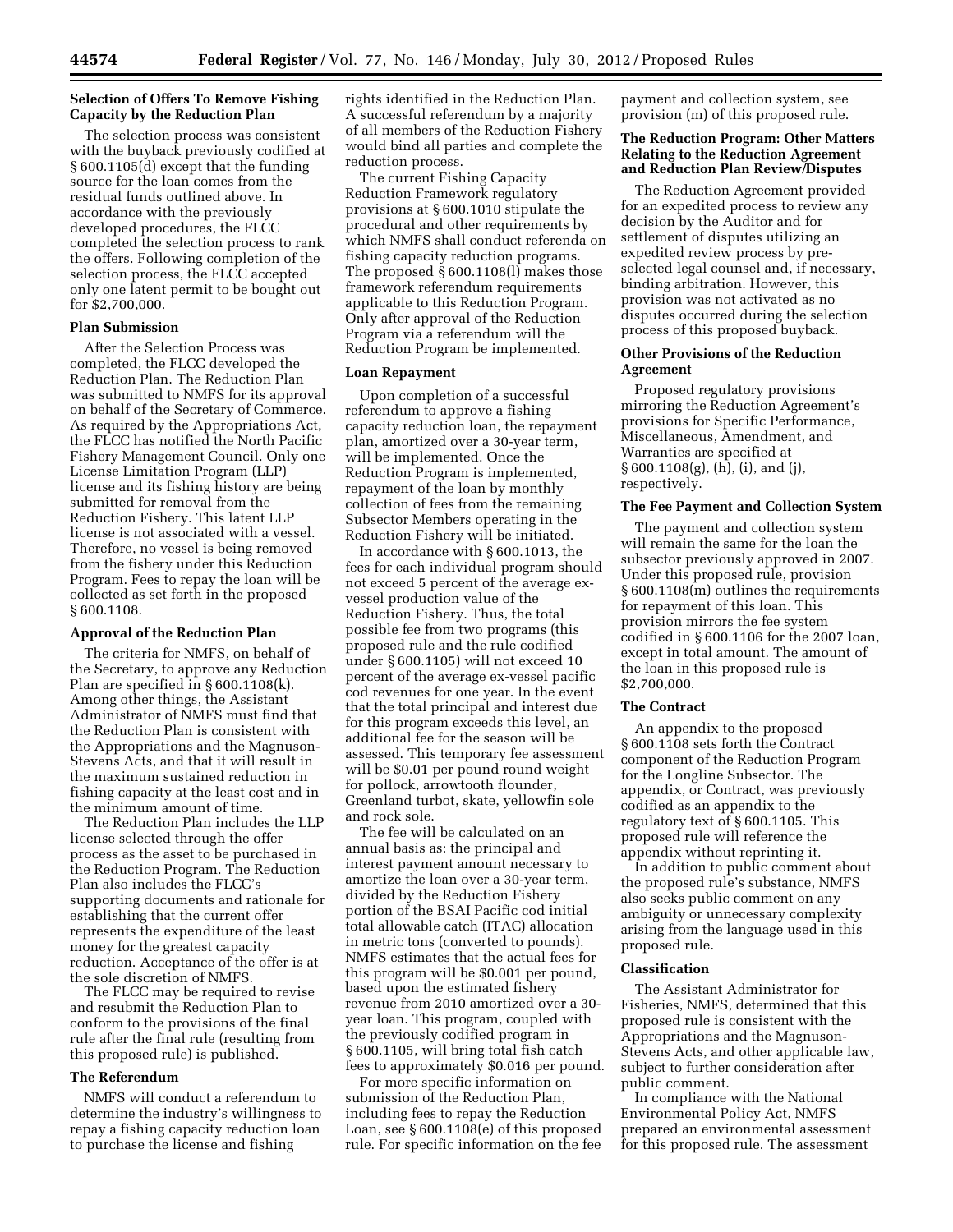# **Selection of Offers To Remove Fishing Capacity by the Reduction Plan**

The selection process was consistent with the buyback previously codified at § 600.1105(d) except that the funding source for the loan comes from the residual funds outlined above. In accordance with the previously developed procedures, the FLCC completed the selection process to rank the offers. Following completion of the selection process, the FLCC accepted only one latent permit to be bought out for \$2,700,000.

### **Plan Submission**

After the Selection Process was completed, the FLCC developed the Reduction Plan. The Reduction Plan was submitted to NMFS for its approval on behalf of the Secretary of Commerce. As required by the Appropriations Act, the FLCC has notified the North Pacific Fishery Management Council. Only one License Limitation Program (LLP) license and its fishing history are being submitted for removal from the Reduction Fishery. This latent LLP license is not associated with a vessel. Therefore, no vessel is being removed from the fishery under this Reduction Program. Fees to repay the loan will be collected as set forth in the proposed § 600.1108.

### **Approval of the Reduction Plan**

The criteria for NMFS, on behalf of the Secretary, to approve any Reduction Plan are specified in § 600.1108(k). Among other things, the Assistant Administrator of NMFS must find that the Reduction Plan is consistent with the Appropriations and the Magnuson-Stevens Acts, and that it will result in the maximum sustained reduction in fishing capacity at the least cost and in the minimum amount of time.

The Reduction Plan includes the LLP license selected through the offer process as the asset to be purchased in the Reduction Program. The Reduction Plan also includes the FLCC's supporting documents and rationale for establishing that the current offer represents the expenditure of the least money for the greatest capacity reduction. Acceptance of the offer is at the sole discretion of NMFS.

The FLCC may be required to revise and resubmit the Reduction Plan to conform to the provisions of the final rule after the final rule (resulting from this proposed rule) is published.

# **The Referendum**

NMFS will conduct a referendum to determine the industry's willingness to repay a fishing capacity reduction loan to purchase the license and fishing

rights identified in the Reduction Plan. A successful referendum by a majority of all members of the Reduction Fishery would bind all parties and complete the reduction process.

The current Fishing Capacity Reduction Framework regulatory provisions at § 600.1010 stipulate the procedural and other requirements by which NMFS shall conduct referenda on fishing capacity reduction programs. The proposed § 600.1108(l) makes those framework referendum requirements applicable to this Reduction Program. Only after approval of the Reduction Program via a referendum will the Reduction Program be implemented.

#### **Loan Repayment**

Upon completion of a successful referendum to approve a fishing capacity reduction loan, the repayment plan, amortized over a 30-year term, will be implemented. Once the Reduction Program is implemented, repayment of the loan by monthly collection of fees from the remaining Subsector Members operating in the Reduction Fishery will be initiated.

In accordance with § 600.1013, the fees for each individual program should not exceed 5 percent of the average exvessel production value of the Reduction Fishery. Thus, the total possible fee from two programs (this proposed rule and the rule codified under § 600.1105) will not exceed 10 percent of the average ex-vessel pacific cod revenues for one year. In the event that the total principal and interest due for this program exceeds this level, an additional fee for the season will be assessed. This temporary fee assessment will be \$0.01 per pound round weight for pollock, arrowtooth flounder, Greenland turbot, skate, yellowfin sole and rock sole.

The fee will be calculated on an annual basis as: the principal and interest payment amount necessary to amortize the loan over a 30-year term, divided by the Reduction Fishery portion of the BSAI Pacific cod initial total allowable catch (ITAC) allocation in metric tons (converted to pounds). NMFS estimates that the actual fees for this program will be \$0.001 per pound, based upon the estimated fishery revenue from 2010 amortized over a 30 year loan. This program, coupled with the previously codified program in § 600.1105, will bring total fish catch fees to approximately \$0.016 per pound.

For more specific information on submission of the Reduction Plan, including fees to repay the Reduction Loan, see § 600.1108(e) of this proposed rule. For specific information on the fee payment and collection system, see provision (m) of this proposed rule.

## **The Reduction Program: Other Matters Relating to the Reduction Agreement and Reduction Plan Review/Disputes**

The Reduction Agreement provided for an expedited process to review any decision by the Auditor and for settlement of disputes utilizing an expedited review process by preselected legal counsel and, if necessary, binding arbitration. However, this provision was not activated as no disputes occurred during the selection process of this proposed buyback.

## **Other Provisions of the Reduction Agreement**

Proposed regulatory provisions mirroring the Reduction Agreement's provisions for Specific Performance, Miscellaneous, Amendment, and Warranties are specified at § 600.1108(g), (h), (i), and (j), respectively.

#### **The Fee Payment and Collection System**

The payment and collection system will remain the same for the loan the subsector previously approved in 2007. Under this proposed rule, provision § 600.1108(m) outlines the requirements for repayment of this loan. This provision mirrors the fee system codified in § 600.1106 for the 2007 loan, except in total amount. The amount of the loan in this proposed rule is \$2,700,000.

## **The Contract**

An appendix to the proposed § 600.1108 sets forth the Contract component of the Reduction Program for the Longline Subsector. The appendix, or Contract, was previously codified as an appendix to the regulatory text of § 600.1105. This proposed rule will reference the appendix without reprinting it.

In addition to public comment about the proposed rule's substance, NMFS also seeks public comment on any ambiguity or unnecessary complexity arising from the language used in this proposed rule.

## **Classification**

The Assistant Administrator for Fisheries, NMFS, determined that this proposed rule is consistent with the Appropriations and the Magnuson-Stevens Acts, and other applicable law, subject to further consideration after public comment.

In compliance with the National Environmental Policy Act, NMFS prepared an environmental assessment for this proposed rule. The assessment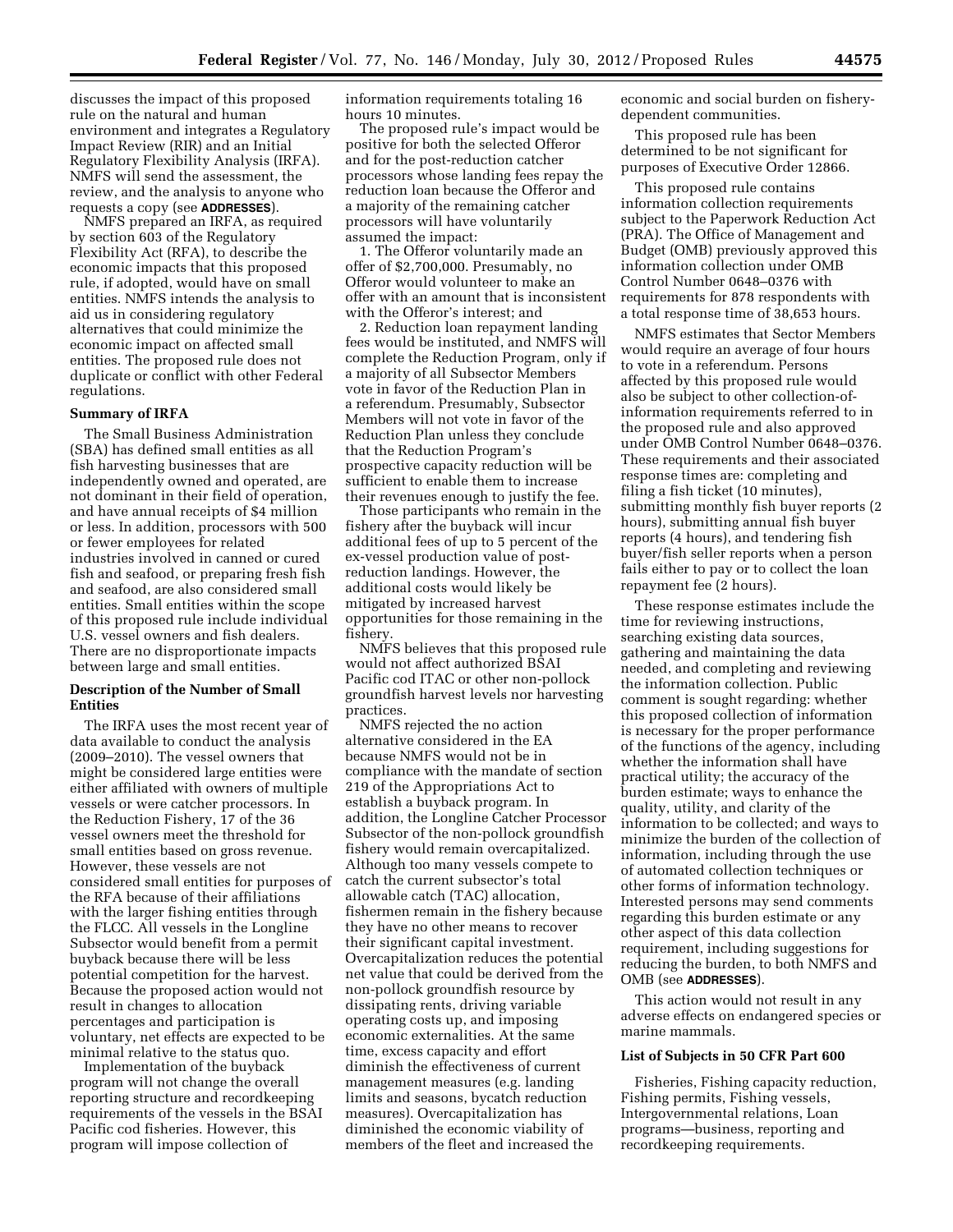discusses the impact of this proposed rule on the natural and human environment and integrates a Regulatory Impact Review (RIR) and an Initial Regulatory Flexibility Analysis (IRFA). NMFS will send the assessment, the review, and the analysis to anyone who requests a copy (see **ADDRESSES**).

NMFS prepared an IRFA, as required by section 603 of the Regulatory Flexibility Act (RFA), to describe the economic impacts that this proposed rule, if adopted, would have on small entities. NMFS intends the analysis to aid us in considering regulatory alternatives that could minimize the economic impact on affected small entities. The proposed rule does not duplicate or conflict with other Federal regulations.

### **Summary of IRFA**

The Small Business Administration (SBA) has defined small entities as all fish harvesting businesses that are independently owned and operated, are not dominant in their field of operation, and have annual receipts of \$4 million or less. In addition, processors with 500 or fewer employees for related industries involved in canned or cured fish and seafood, or preparing fresh fish and seafood, are also considered small entities. Small entities within the scope of this proposed rule include individual U.S. vessel owners and fish dealers. There are no disproportionate impacts between large and small entities.

# **Description of the Number of Small Entities**

The IRFA uses the most recent year of data available to conduct the analysis (2009–2010). The vessel owners that might be considered large entities were either affiliated with owners of multiple vessels or were catcher processors. In the Reduction Fishery, 17 of the 36 vessel owners meet the threshold for small entities based on gross revenue. However, these vessels are not considered small entities for purposes of the RFA because of their affiliations with the larger fishing entities through the FLCC. All vessels in the Longline Subsector would benefit from a permit buyback because there will be less potential competition for the harvest. Because the proposed action would not result in changes to allocation percentages and participation is voluntary, net effects are expected to be minimal relative to the status quo.

Implementation of the buyback program will not change the overall reporting structure and recordkeeping requirements of the vessels in the BSAI Pacific cod fisheries. However, this program will impose collection of

information requirements totaling 16 hours 10 minutes.

The proposed rule's impact would be positive for both the selected Offeror and for the post-reduction catcher processors whose landing fees repay the reduction loan because the Offeror and a majority of the remaining catcher processors will have voluntarily assumed the impact:

1. The Offeror voluntarily made an offer of \$2,700,000. Presumably, no Offeror would volunteer to make an offer with an amount that is inconsistent with the Offeror's interest; and

2. Reduction loan repayment landing fees would be instituted, and NMFS will complete the Reduction Program, only if a majority of all Subsector Members vote in favor of the Reduction Plan in a referendum. Presumably, Subsector Members will not vote in favor of the Reduction Plan unless they conclude that the Reduction Program's prospective capacity reduction will be sufficient to enable them to increase their revenues enough to justify the fee.

Those participants who remain in the fishery after the buyback will incur additional fees of up to 5 percent of the ex-vessel production value of postreduction landings. However, the additional costs would likely be mitigated by increased harvest opportunities for those remaining in the fishery.

NMFS believes that this proposed rule would not affect authorized BSAI Pacific cod ITAC or other non-pollock groundfish harvest levels nor harvesting practices.

NMFS rejected the no action alternative considered in the EA because NMFS would not be in compliance with the mandate of section 219 of the Appropriations Act to establish a buyback program. In addition, the Longline Catcher Processor Subsector of the non-pollock groundfish fishery would remain overcapitalized. Although too many vessels compete to catch the current subsector's total allowable catch (TAC) allocation, fishermen remain in the fishery because they have no other means to recover their significant capital investment. Overcapitalization reduces the potential net value that could be derived from the non-pollock groundfish resource by dissipating rents, driving variable operating costs up, and imposing economic externalities. At the same time, excess capacity and effort diminish the effectiveness of current management measures (e.g. landing limits and seasons, bycatch reduction measures). Overcapitalization has diminished the economic viability of members of the fleet and increased the

economic and social burden on fisherydependent communities.

This proposed rule has been determined to be not significant for purposes of Executive Order 12866.

This proposed rule contains information collection requirements subject to the Paperwork Reduction Act (PRA). The Office of Management and Budget (OMB) previously approved this information collection under OMB Control Number 0648–0376 with requirements for 878 respondents with a total response time of 38,653 hours.

NMFS estimates that Sector Members would require an average of four hours to vote in a referendum. Persons affected by this proposed rule would also be subject to other collection-ofinformation requirements referred to in the proposed rule and also approved under OMB Control Number 0648–0376. These requirements and their associated response times are: completing and filing a fish ticket (10 minutes), submitting monthly fish buyer reports (2 hours), submitting annual fish buyer reports (4 hours), and tendering fish buyer/fish seller reports when a person fails either to pay or to collect the loan repayment fee (2 hours).

These response estimates include the time for reviewing instructions, searching existing data sources, gathering and maintaining the data needed, and completing and reviewing the information collection. Public comment is sought regarding: whether this proposed collection of information is necessary for the proper performance of the functions of the agency, including whether the information shall have practical utility; the accuracy of the burden estimate; ways to enhance the quality, utility, and clarity of the information to be collected; and ways to minimize the burden of the collection of information, including through the use of automated collection techniques or other forms of information technology. Interested persons may send comments regarding this burden estimate or any other aspect of this data collection requirement, including suggestions for reducing the burden, to both NMFS and OMB (see **ADDRESSES**).

This action would not result in any adverse effects on endangered species or marine mammals.

## **List of Subjects in 50 CFR Part 600**

Fisheries, Fishing capacity reduction, Fishing permits, Fishing vessels, Intergovernmental relations, Loan programs—business, reporting and recordkeeping requirements.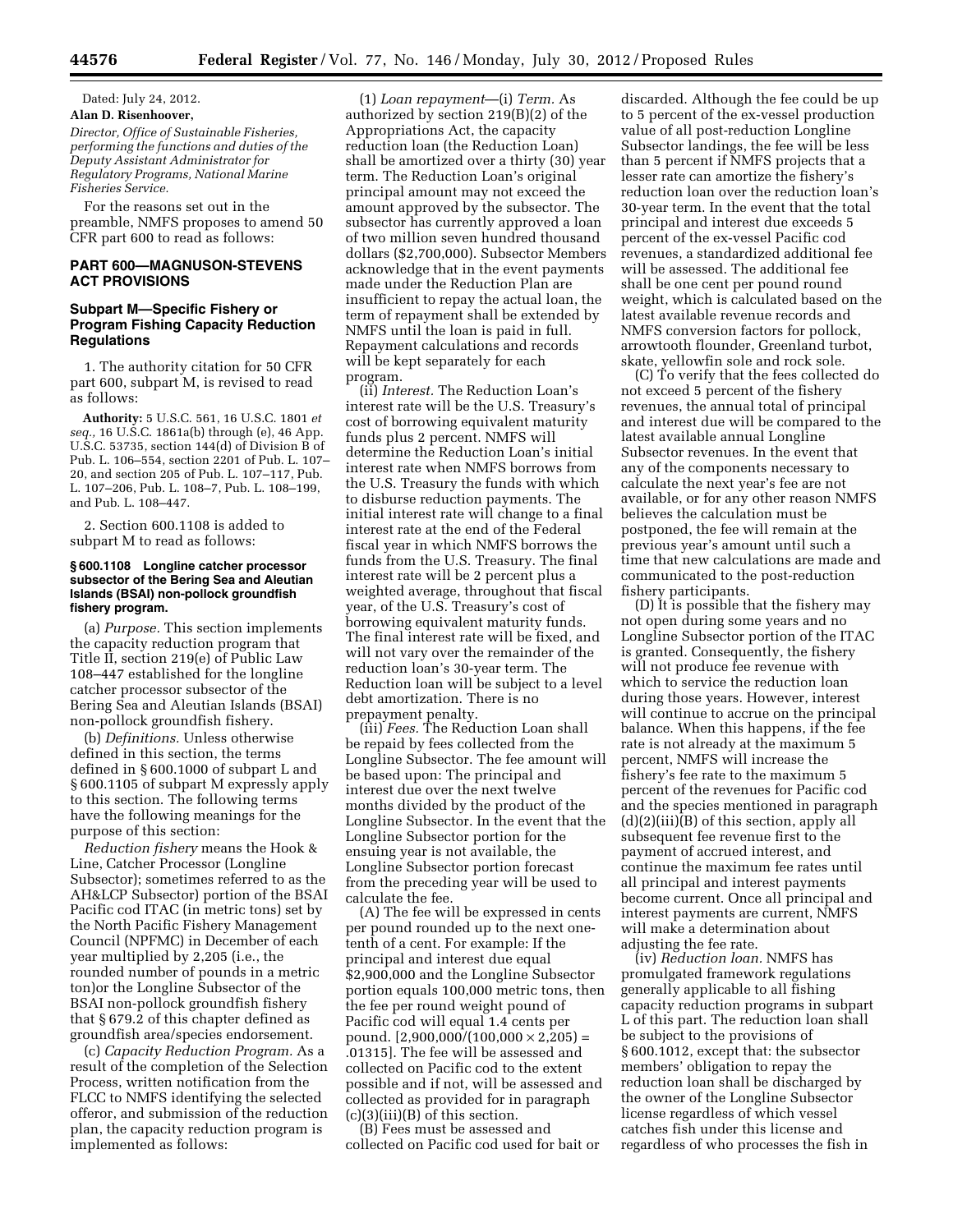Dated: July 24, 2012. **Alan D. Risenhoover,** 

*Director, Office of Sustainable Fisheries, performing the functions and duties of the Deputy Assistant Administrator for Regulatory Programs, National Marine Fisheries Service.* 

For the reasons set out in the preamble, NMFS proposes to amend 50 CFR part 600 to read as follows:

## **PART 600—MAGNUSON-STEVENS ACT PROVISIONS**

## **Subpart M—Specific Fishery or Program Fishing Capacity Reduction Regulations**

1. The authority citation for 50 CFR part 600, subpart M, is revised to read as follows:

**Authority:** 5 U.S.C. 561, 16 U.S.C. 1801 *et seq.,* 16 U.S.C. 1861a(b) through (e), 46 App. U.S.C. 53735, section 144(d) of Division B of Pub. L. 106–554, section 2201 of Pub. L. 107– 20, and section 205 of Pub. L. 107–117, Pub. L. 107–206, Pub. L. 108–7, Pub. L. 108–199, and Pub. L. 108–447.

2. Section 600.1108 is added to subpart M to read as follows:

### **§ 600.1108 Longline catcher processor subsector of the Bering Sea and Aleutian Islands (BSAI) non-pollock groundfish fishery program.**

(a) *Purpose.* This section implements the capacity reduction program that Title II, section 219(e) of Public Law 108–447 established for the longline catcher processor subsector of the Bering Sea and Aleutian Islands (BSAI) non-pollock groundfish fishery.

(b) *Definitions.* Unless otherwise defined in this section, the terms defined in § 600.1000 of subpart L and § 600.1105 of subpart M expressly apply to this section. The following terms have the following meanings for the purpose of this section:

*Reduction fishery* means the Hook & Line, Catcher Processor (Longline Subsector); sometimes referred to as the AH&LCP Subsector) portion of the BSAI Pacific cod ITAC (in metric tons) set by the North Pacific Fishery Management Council (NPFMC) in December of each year multiplied by 2,205 (i.e., the rounded number of pounds in a metric ton)or the Longline Subsector of the BSAI non-pollock groundfish fishery that § 679.2 of this chapter defined as groundfish area/species endorsement.

(c) *Capacity Reduction Program.* As a result of the completion of the Selection Process, written notification from the FLCC to NMFS identifying the selected offeror, and submission of the reduction plan, the capacity reduction program is implemented as follows:

(1) *Loan repayment*—(i) *Term.* As authorized by section 219(B)(2) of the Appropriations Act, the capacity reduction loan (the Reduction Loan) shall be amortized over a thirty (30) year term. The Reduction Loan's original principal amount may not exceed the amount approved by the subsector. The subsector has currently approved a loan of two million seven hundred thousand dollars (\$2,700,000). Subsector Members acknowledge that in the event payments made under the Reduction Plan are insufficient to repay the actual loan, the term of repayment shall be extended by NMFS until the loan is paid in full. Repayment calculations and records will be kept separately for each program.

(ii) *Interest.* The Reduction Loan's interest rate will be the U.S. Treasury's cost of borrowing equivalent maturity funds plus 2 percent. NMFS will determine the Reduction Loan's initial interest rate when NMFS borrows from the U.S. Treasury the funds with which to disburse reduction payments. The initial interest rate will change to a final interest rate at the end of the Federal fiscal year in which NMFS borrows the funds from the U.S. Treasury. The final interest rate will be 2 percent plus a weighted average, throughout that fiscal year, of the U.S. Treasury's cost of borrowing equivalent maturity funds. The final interest rate will be fixed, and will not vary over the remainder of the reduction loan's 30-year term. The Reduction loan will be subject to a level debt amortization. There is no prepayment penalty.

(iii) *Fees.* The Reduction Loan shall be repaid by fees collected from the Longline Subsector. The fee amount will be based upon: The principal and interest due over the next twelve months divided by the product of the Longline Subsector. In the event that the Longline Subsector portion for the ensuing year is not available, the Longline Subsector portion forecast from the preceding year will be used to calculate the fee.

(A) The fee will be expressed in cents per pound rounded up to the next onetenth of a cent. For example: If the principal and interest due equal \$2,900,000 and the Longline Subsector portion equals 100,000 metric tons, then the fee per round weight pound of Pacific cod will equal 1.4 cents per pound.  $[2,900,000/(100,000 \times 2,205)$  = .01315]. The fee will be assessed and collected on Pacific cod to the extent possible and if not, will be assessed and collected as provided for in paragraph  $(c)(3)(iii)(B)$  of this section.

(B) Fees must be assessed and collected on Pacific cod used for bait or

discarded. Although the fee could be up to 5 percent of the ex-vessel production value of all post-reduction Longline Subsector landings, the fee will be less than 5 percent if NMFS projects that a lesser rate can amortize the fishery's reduction loan over the reduction loan's 30-year term. In the event that the total principal and interest due exceeds 5 percent of the ex-vessel Pacific cod revenues, a standardized additional fee will be assessed. The additional fee shall be one cent per pound round weight, which is calculated based on the latest available revenue records and NMFS conversion factors for pollock, arrowtooth flounder, Greenland turbot, skate, yellowfin sole and rock sole.

(C) To verify that the fees collected do not exceed 5 percent of the fishery revenues, the annual total of principal and interest due will be compared to the latest available annual Longline Subsector revenues. In the event that any of the components necessary to calculate the next year's fee are not available, or for any other reason NMFS believes the calculation must be postponed, the fee will remain at the previous year's amount until such a time that new calculations are made and communicated to the post-reduction fishery participants.

(D) It is possible that the fishery may not open during some years and no Longline Subsector portion of the ITAC is granted. Consequently, the fishery will not produce fee revenue with which to service the reduction loan during those years. However, interest will continue to accrue on the principal balance. When this happens, if the fee rate is not already at the maximum 5 percent, NMFS will increase the fishery's fee rate to the maximum 5 percent of the revenues for Pacific cod and the species mentioned in paragraph (d)(2)(iii)(B) of this section, apply all subsequent fee revenue first to the payment of accrued interest, and continue the maximum fee rates until all principal and interest payments become current. Once all principal and interest payments are current, NMFS will make a determination about adjusting the fee rate.

(iv) *Reduction loan.* NMFS has promulgated framework regulations generally applicable to all fishing capacity reduction programs in subpart L of this part. The reduction loan shall be subject to the provisions of § 600.1012, except that: the subsector members' obligation to repay the reduction loan shall be discharged by the owner of the Longline Subsector license regardless of which vessel catches fish under this license and regardless of who processes the fish in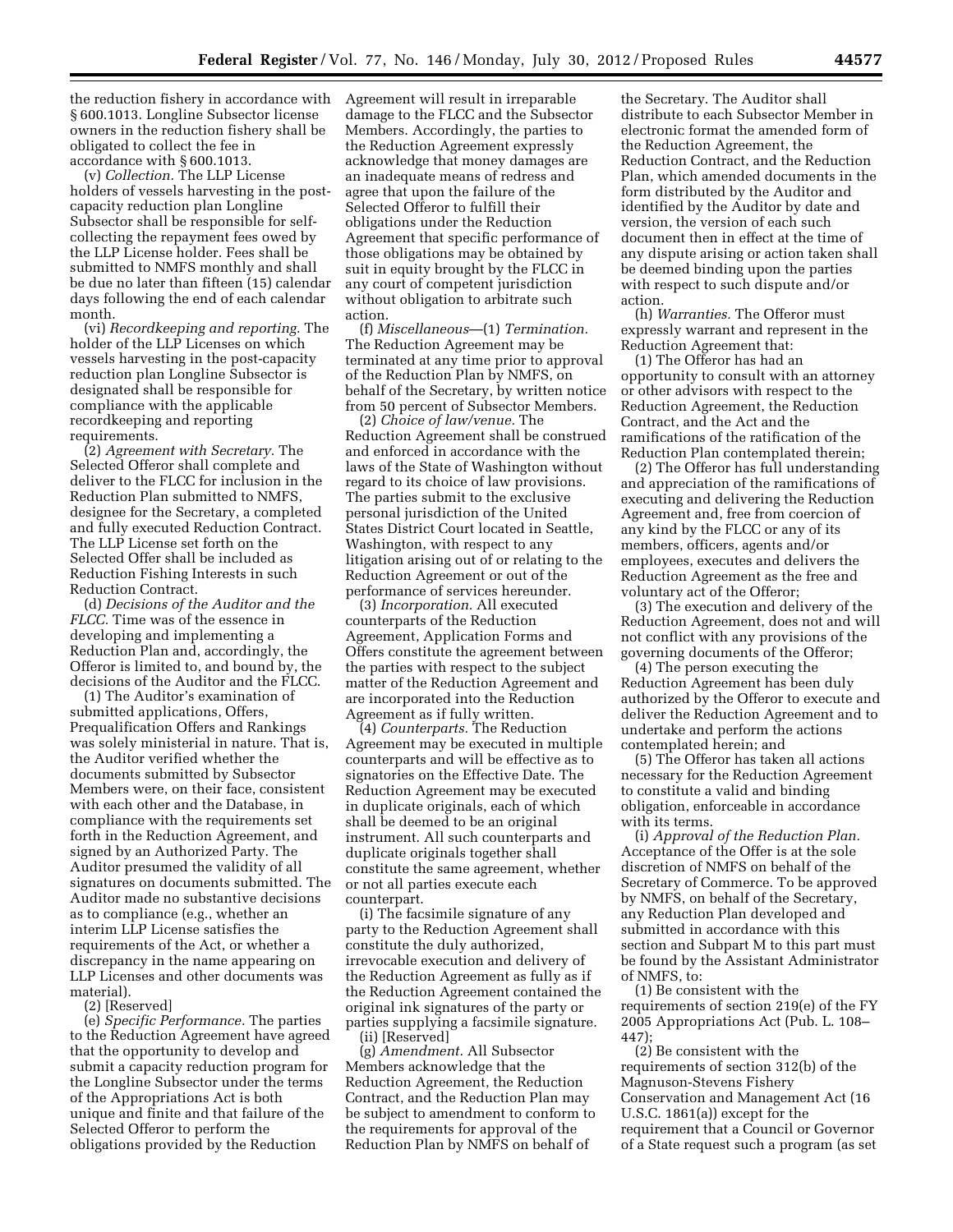the reduction fishery in accordance with § 600.1013. Longline Subsector license owners in the reduction fishery shall be obligated to collect the fee in accordance with § 600.1013.

(v) *Collection.* The LLP License holders of vessels harvesting in the postcapacity reduction plan Longline Subsector shall be responsible for selfcollecting the repayment fees owed by the LLP License holder. Fees shall be submitted to NMFS monthly and shall be due no later than fifteen (15) calendar days following the end of each calendar month.

(vi) *Recordkeeping and reporting.* The holder of the LLP Licenses on which vessels harvesting in the post-capacity reduction plan Longline Subsector is designated shall be responsible for compliance with the applicable recordkeeping and reporting requirements.

(2) *Agreement with Secretary.* The Selected Offeror shall complete and deliver to the FLCC for inclusion in the Reduction Plan submitted to NMFS, designee for the Secretary, a completed and fully executed Reduction Contract. The LLP License set forth on the Selected Offer shall be included as Reduction Fishing Interests in such Reduction Contract.

(d) *Decisions of the Auditor and the FLCC.* Time was of the essence in developing and implementing a Reduction Plan and, accordingly, the Offeror is limited to, and bound by, the decisions of the Auditor and the FLCC.

(1) The Auditor's examination of submitted applications, Offers, Prequalification Offers and Rankings was solely ministerial in nature. That is, the Auditor verified whether the documents submitted by Subsector Members were, on their face, consistent with each other and the Database, in compliance with the requirements set forth in the Reduction Agreement, and signed by an Authorized Party. The Auditor presumed the validity of all signatures on documents submitted. The Auditor made no substantive decisions as to compliance (e.g., whether an interim LLP License satisfies the requirements of the Act, or whether a discrepancy in the name appearing on LLP Licenses and other documents was material).

(2) [Reserved]

(e) *Specific Performance.* The parties to the Reduction Agreement have agreed that the opportunity to develop and submit a capacity reduction program for the Longline Subsector under the terms of the Appropriations Act is both unique and finite and that failure of the Selected Offeror to perform the obligations provided by the Reduction

Agreement will result in irreparable damage to the FLCC and the Subsector Members. Accordingly, the parties to the Reduction Agreement expressly acknowledge that money damages are an inadequate means of redress and agree that upon the failure of the Selected Offeror to fulfill their obligations under the Reduction Agreement that specific performance of those obligations may be obtained by suit in equity brought by the FLCC in any court of competent jurisdiction without obligation to arbitrate such action.

(f) *Miscellaneous*—(1) *Termination.*  The Reduction Agreement may be terminated at any time prior to approval of the Reduction Plan by NMFS, on behalf of the Secretary, by written notice from 50 percent of Subsector Members.

(2) *Choice of law/venue.* The Reduction Agreement shall be construed and enforced in accordance with the laws of the State of Washington without regard to its choice of law provisions. The parties submit to the exclusive personal jurisdiction of the United States District Court located in Seattle, Washington, with respect to any litigation arising out of or relating to the Reduction Agreement or out of the performance of services hereunder.

(3) *Incorporation.* All executed counterparts of the Reduction Agreement, Application Forms and Offers constitute the agreement between the parties with respect to the subject matter of the Reduction Agreement and are incorporated into the Reduction Agreement as if fully written.

(4) *Counterparts.* The Reduction Agreement may be executed in multiple counterparts and will be effective as to signatories on the Effective Date. The Reduction Agreement may be executed in duplicate originals, each of which shall be deemed to be an original instrument. All such counterparts and duplicate originals together shall constitute the same agreement, whether or not all parties execute each counterpart.

(i) The facsimile signature of any party to the Reduction Agreement shall constitute the duly authorized, irrevocable execution and delivery of the Reduction Agreement as fully as if the Reduction Agreement contained the original ink signatures of the party or parties supplying a facsimile signature. (ii) [Reserved]

(g) *Amendment.* All Subsector Members acknowledge that the Reduction Agreement, the Reduction Contract, and the Reduction Plan may be subject to amendment to conform to the requirements for approval of the Reduction Plan by NMFS on behalf of

the Secretary. The Auditor shall distribute to each Subsector Member in electronic format the amended form of the Reduction Agreement, the Reduction Contract, and the Reduction Plan, which amended documents in the form distributed by the Auditor and identified by the Auditor by date and version, the version of each such document then in effect at the time of any dispute arising or action taken shall be deemed binding upon the parties with respect to such dispute and/or action.

(h) *Warranties.* The Offeror must expressly warrant and represent in the Reduction Agreement that:

(1) The Offeror has had an opportunity to consult with an attorney or other advisors with respect to the Reduction Agreement, the Reduction Contract, and the Act and the ramifications of the ratification of the Reduction Plan contemplated therein;

(2) The Offeror has full understanding and appreciation of the ramifications of executing and delivering the Reduction Agreement and, free from coercion of any kind by the FLCC or any of its members, officers, agents and/or employees, executes and delivers the Reduction Agreement as the free and voluntary act of the Offeror;

(3) The execution and delivery of the Reduction Agreement, does not and will not conflict with any provisions of the governing documents of the Offeror;

(4) The person executing the Reduction Agreement has been duly authorized by the Offeror to execute and deliver the Reduction Agreement and to undertake and perform the actions contemplated herein; and

(5) The Offeror has taken all actions necessary for the Reduction Agreement to constitute a valid and binding obligation, enforceable in accordance with its terms.

(i) *Approval of the Reduction Plan.*  Acceptance of the Offer is at the sole discretion of NMFS on behalf of the Secretary of Commerce. To be approved by NMFS, on behalf of the Secretary, any Reduction Plan developed and submitted in accordance with this section and Subpart M to this part must be found by the Assistant Administrator of NMFS, to:

(1) Be consistent with the requirements of section 219(e) of the FY 2005 Appropriations Act (Pub. L. 108– 447);

(2) Be consistent with the requirements of section 312(b) of the Magnuson-Stevens Fishery Conservation and Management Act (16 U.S.C. 1861(a)) except for the requirement that a Council or Governor of a State request such a program (as set